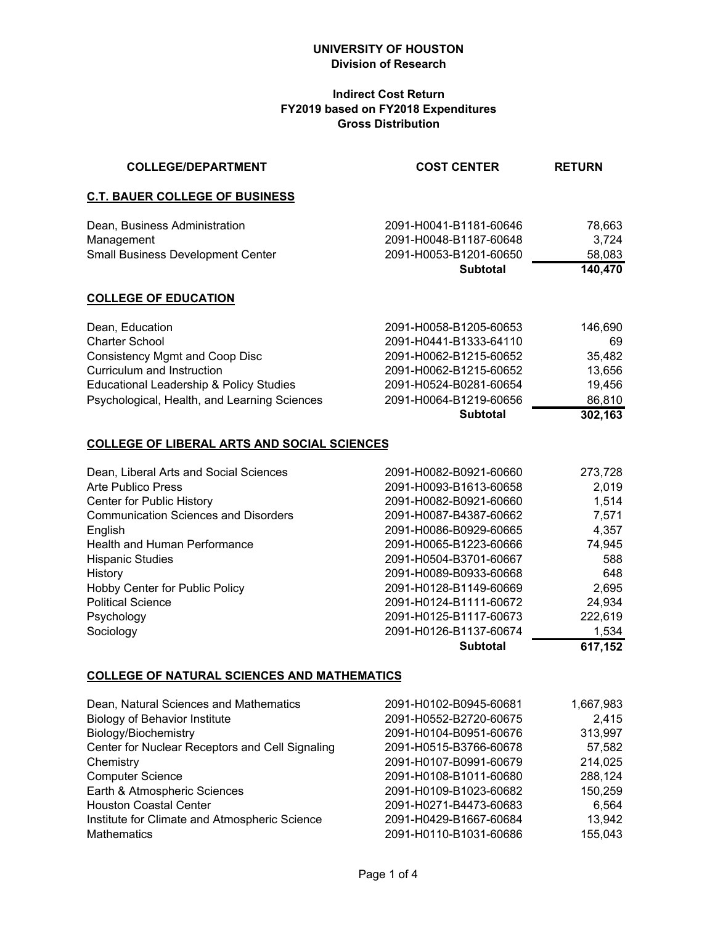#### **Indirect Cost Return FY2019 based on FY2018 Expenditures Gross Distribution**

| <b>COLLEGE/DEPARTMENT</b>                          | <b>COST CENTER</b>                               | <b>RETURN</b>   |
|----------------------------------------------------|--------------------------------------------------|-----------------|
| <b>C.T. BAUER COLLEGE OF BUSINESS</b>              |                                                  |                 |
| Dean, Business Administration<br>Management        | 2091-H0041-B1181-60646<br>2091-H0048-B1187-60648 | 78,663<br>3,724 |
| <b>Small Business Development Center</b>           | 2091-H0053-B1201-60650                           | 58,083          |
|                                                    | <b>Subtotal</b>                                  | 140,470         |
| <b>COLLEGE OF EDUCATION</b>                        |                                                  |                 |
| Dean, Education                                    | 2091-H0058-B1205-60653                           | 146,690         |
| Charter School                                     | 2091-H0441-B1333-64110                           | 69              |
| Consistency Mgmt and Coop Disc                     | 2091-H0062-B1215-60652                           | 35,482          |
| Curriculum and Instruction                         | 2091-H0062-B1215-60652                           | 13,656          |
| <b>Educational Leadership &amp; Policy Studies</b> | 2091-H0524-B0281-60654                           | 19,456          |
| Psychological, Health, and Learning Sciences       | 2091-H0064-B1219-60656                           | 86,810          |
|                                                    | <b>Subtotal</b>                                  | 302,163         |
|                                                    |                                                  |                 |

# **COLLEGE OF LIBERAL ARTS AND SOCIAL SCIENCES**

| Dean, Liberal Arts and Social Sciences<br><b>Arte Publico Press</b> | 2091-H0082-B0921-60660<br>2091-H0093-B1613-60658 | 273,728<br>2,019 |
|---------------------------------------------------------------------|--------------------------------------------------|------------------|
|                                                                     |                                                  |                  |
| Center for Public History                                           | 2091-H0082-B0921-60660                           | 1,514            |
| <b>Communication Sciences and Disorders</b>                         | 2091-H0087-B4387-60662                           | 7,571            |
| English                                                             | 2091-H0086-B0929-60665                           | 4,357            |
| <b>Health and Human Performance</b>                                 | 2091-H0065-B1223-60666                           | 74,945           |
| <b>Hispanic Studies</b>                                             | 2091-H0504-B3701-60667                           | 588              |
| History                                                             | 2091-H0089-B0933-60668                           | 648              |
| Hobby Center for Public Policy                                      | 2091-H0128-B1149-60669                           | 2,695            |
| <b>Political Science</b>                                            | 2091-H0124-B1111-60672                           | 24,934           |
| Psychology                                                          | 2091-H0125-B1117-60673                           | 222,619          |
| Sociology                                                           | 2091-H0126-B1137-60674                           | 1.534            |
|                                                                     | <b>Subtotal</b>                                  | 617,152          |

#### **COLLEGE OF NATURAL SCIENCES AND MATHEMATICS**

| Dean, Natural Sciences and Mathematics          | 2091-H0102-B0945-60681 | 1,667,983 |
|-------------------------------------------------|------------------------|-----------|
| <b>Biology of Behavior Institute</b>            | 2091-H0552-B2720-60675 | 2,415     |
| Biology/Biochemistry                            | 2091-H0104-B0951-60676 | 313,997   |
| Center for Nuclear Receptors and Cell Signaling | 2091-H0515-B3766-60678 | 57,582    |
| Chemistry                                       | 2091-H0107-B0991-60679 | 214,025   |
| <b>Computer Science</b>                         | 2091-H0108-B1011-60680 | 288,124   |
| Earth & Atmospheric Sciences                    | 2091-H0109-B1023-60682 | 150,259   |
| <b>Houston Coastal Center</b>                   | 2091-H0271-B4473-60683 | 6,564     |
| Institute for Climate and Atmospheric Science   | 2091-H0429-B1667-60684 | 13,942    |
| <b>Mathematics</b>                              | 2091-H0110-B1031-60686 | 155,043   |
|                                                 |                        |           |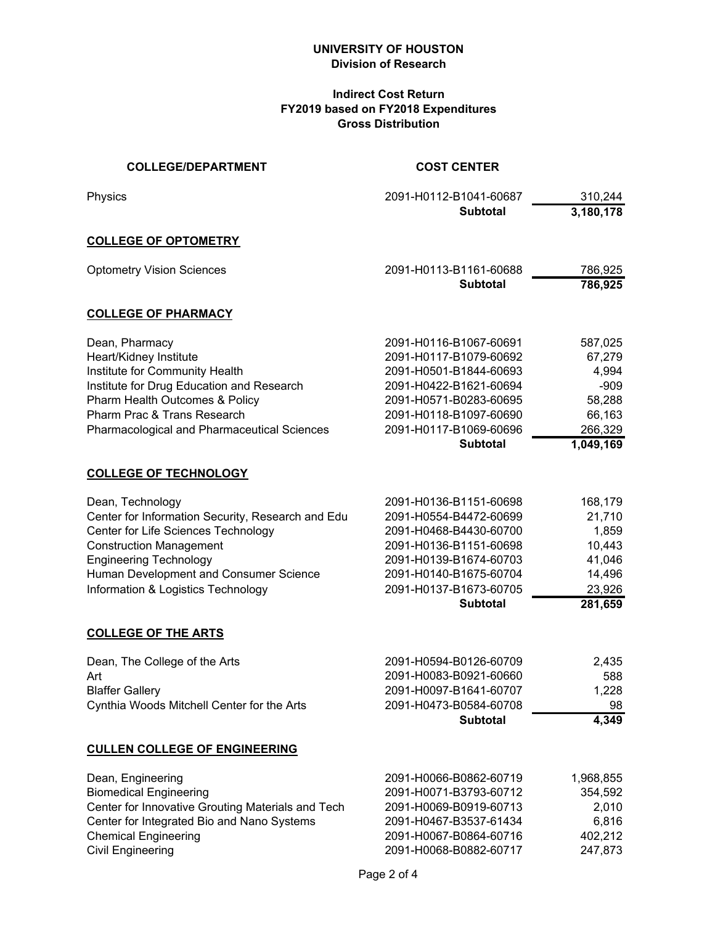#### **Indirect Cost Return FY2019 based on FY2018 Expenditures Gross Distribution**

| <b>COLLEGE/DEPARTMENT</b>                          | <b>COST CENTER</b>     |           |
|----------------------------------------------------|------------------------|-----------|
| Physics                                            | 2091-H0112-B1041-60687 | 310,244   |
|                                                    | <b>Subtotal</b>        | 3,180,178 |
| <b>COLLEGE OF OPTOMETRY</b>                        |                        |           |
| <b>Optometry Vision Sciences</b>                   | 2091-H0113-B1161-60688 | 786,925   |
|                                                    | <b>Subtotal</b>        | 786,925   |
| <b>COLLEGE OF PHARMACY</b>                         |                        |           |
| Dean, Pharmacy                                     | 2091-H0116-B1067-60691 | 587,025   |
| Heart/Kidney Institute                             | 2091-H0117-B1079-60692 | 67,279    |
| Institute for Community Health                     | 2091-H0501-B1844-60693 | 4,994     |
| Institute for Drug Education and Research          | 2091-H0422-B1621-60694 | $-909$    |
| Pharm Health Outcomes & Policy                     | 2091-H0571-B0283-60695 | 58,288    |
| Pharm Prac & Trans Research                        | 2091-H0118-B1097-60690 | 66,163    |
| <b>Pharmacological and Pharmaceutical Sciences</b> | 2091-H0117-B1069-60696 | 266,329   |
|                                                    | <b>Subtotal</b>        | 1,049,169 |
| <b>COLLEGE OF TECHNOLOGY</b>                       |                        |           |
| Dean, Technology                                   | 2091-H0136-B1151-60698 | 168,179   |
| Center for Information Security, Research and Edu  | 2091-H0554-B4472-60699 | 21,710    |
| Center for Life Sciences Technology                | 2091-H0468-B4430-60700 | 1,859     |
| <b>Construction Management</b>                     | 2091-H0136-B1151-60698 | 10,443    |
| <b>Engineering Technology</b>                      | 2091-H0139-B1674-60703 | 41,046    |
| Human Development and Consumer Science             | 2091-H0140-B1675-60704 | 14,496    |
| Information & Logistics Technology                 | 2091-H0137-B1673-60705 | 23,926    |
|                                                    | <b>Subtotal</b>        | 281,659   |
| <b>COLLEGE OF THE ARTS</b>                         |                        |           |
| Dean, The College of the Arts                      | 2091-H0594-B0126-60709 | 2,435     |
| Art                                                | 2091-H0083-B0921-60660 | 588       |
| <b>Blaffer Gallery</b>                             | 2091-H0097-B1641-60707 | 1,228     |
| Cynthia Woods Mitchell Center for the Arts         | 2091-H0473-B0584-60708 | 98        |
|                                                    | <b>Subtotal</b>        | 4,349     |
| <b>CULLEN COLLEGE OF ENGINEERING</b>               |                        |           |
| Dean, Engineering                                  | 2091-H0066-B0862-60719 | 1,968,855 |
| <b>Biomedical Engineering</b>                      | 2091-H0071-B3793-60712 | 354,592   |
| Center for Innovative Grouting Materials and Tech  | 2091-H0069-B0919-60713 | 2,010     |
| Center for Integrated Bio and Nano Systems         | 2091-H0467-B3537-61434 | 6,816     |
| <b>Chemical Engineering</b>                        | 2091-H0067-B0864-60716 | 402,212   |
| <b>Civil Engineering</b>                           | 2091-H0068-B0882-60717 | 247,873   |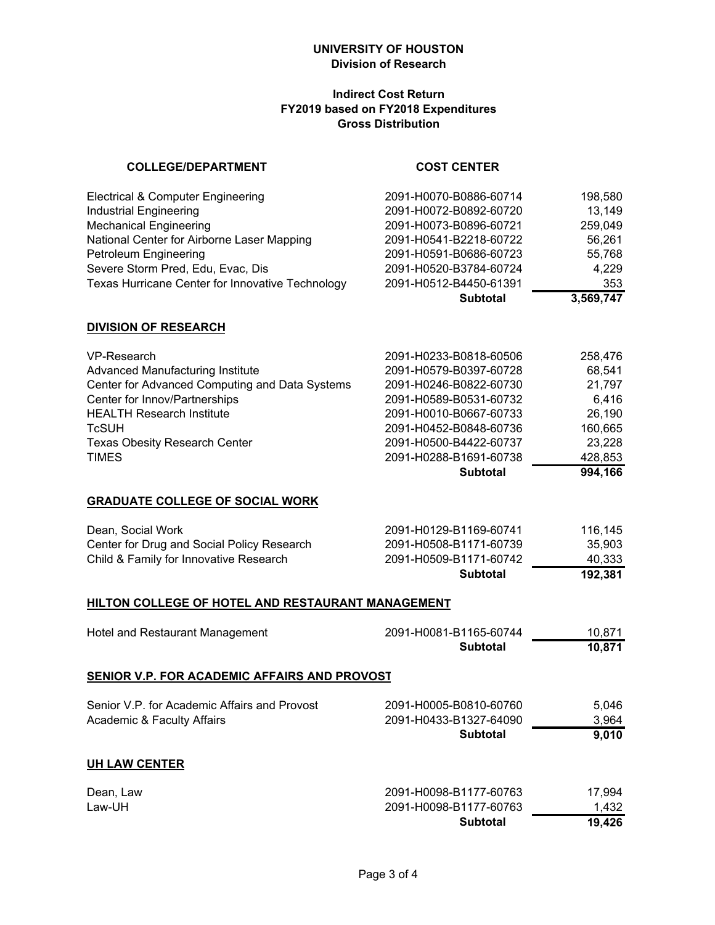# **Indirect Cost Return FY2019 based on FY2018 Expenditures Gross Distribution**

| <b>COLLEGE/DEPARTMENT</b>                                                                                                                                                                                                                      | <b>COST CENTER</b>                                                                                                                                                                                                              |                                                                                           |
|------------------------------------------------------------------------------------------------------------------------------------------------------------------------------------------------------------------------------------------------|---------------------------------------------------------------------------------------------------------------------------------------------------------------------------------------------------------------------------------|-------------------------------------------------------------------------------------------|
| <b>Electrical &amp; Computer Engineering</b><br><b>Industrial Engineering</b><br><b>Mechanical Engineering</b><br>National Center for Airborne Laser Mapping                                                                                   | 2091-H0070-B0886-60714<br>2091-H0072-B0892-60720<br>2091-H0073-B0896-60721<br>2091-H0541-B2218-60722                                                                                                                            | 198,580<br>13,149<br>259,049<br>56,261                                                    |
| Petroleum Engineering<br>Severe Storm Pred, Edu, Evac, Dis<br>Texas Hurricane Center for Innovative Technology                                                                                                                                 | 2091-H0591-B0686-60723<br>2091-H0520-B3784-60724<br>2091-H0512-B4450-61391                                                                                                                                                      | 55,768<br>4,229<br>353                                                                    |
|                                                                                                                                                                                                                                                | <b>Subtotal</b>                                                                                                                                                                                                                 | 3,569,747                                                                                 |
| <b>DIVISION OF RESEARCH</b>                                                                                                                                                                                                                    |                                                                                                                                                                                                                                 |                                                                                           |
| VP-Research<br>Advanced Manufacturing Institute<br>Center for Advanced Computing and Data Systems<br>Center for Innov/Partnerships<br><b>HEALTH Research Institute</b><br><b>TcSUH</b><br><b>Texas Obesity Research Center</b><br><b>TIMES</b> | 2091-H0233-B0818-60506<br>2091-H0579-B0397-60728<br>2091-H0246-B0822-60730<br>2091-H0589-B0531-60732<br>2091-H0010-B0667-60733<br>2091-H0452-B0848-60736<br>2091-H0500-B4422-60737<br>2091-H0288-B1691-60738<br><b>Subtotal</b> | 258,476<br>68,541<br>21,797<br>6,416<br>26,190<br>160,665<br>23,228<br>428,853<br>994,166 |
| <b>GRADUATE COLLEGE OF SOCIAL WORK</b>                                                                                                                                                                                                         |                                                                                                                                                                                                                                 |                                                                                           |
| Dean, Social Work<br>Center for Drug and Social Policy Research<br>Child & Family for Innovative Research                                                                                                                                      | 2091-H0129-B1169-60741<br>2091-H0508-B1171-60739<br>2091-H0509-B1171-60742<br><b>Subtotal</b>                                                                                                                                   | 116,145<br>35,903<br>40,333<br>192,381                                                    |
| <b>HILTON COLLEGE OF HOTEL AND RESTAURANT MANAGEMENT</b>                                                                                                                                                                                       |                                                                                                                                                                                                                                 |                                                                                           |
| Hotel and Restaurant Management                                                                                                                                                                                                                | 2091-H0081-B1165-60744<br><b>Subtotal</b>                                                                                                                                                                                       | 10,871<br>10,871                                                                          |
| <b>SENIOR V.P. FOR ACADEMIC AFFAIRS AND PROVOST</b>                                                                                                                                                                                            |                                                                                                                                                                                                                                 |                                                                                           |
| Senior V.P. for Academic Affairs and Provost<br><b>Academic &amp; Faculty Affairs</b>                                                                                                                                                          | 2091-H0005-B0810-60760<br>2091-H0433-B1327-64090<br><b>Subtotal</b>                                                                                                                                                             | 5,046<br>3,964<br>9,010                                                                   |
| <b>UH LAW CENTER</b>                                                                                                                                                                                                                           |                                                                                                                                                                                                                                 |                                                                                           |
| Dean, Law<br>Law-UH                                                                                                                                                                                                                            | 2091-H0098-B1177-60763<br>2091-H0098-B1177-60763                                                                                                                                                                                | 17,994<br>1,432                                                                           |

**Subtotal 19,426**